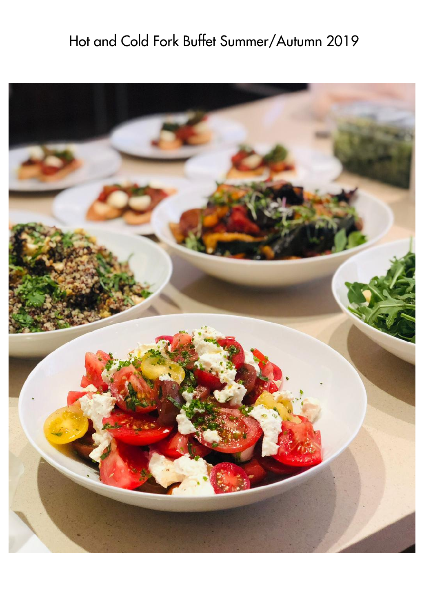## Hot and Cold Fork Buffet Summer/Autumn 2019

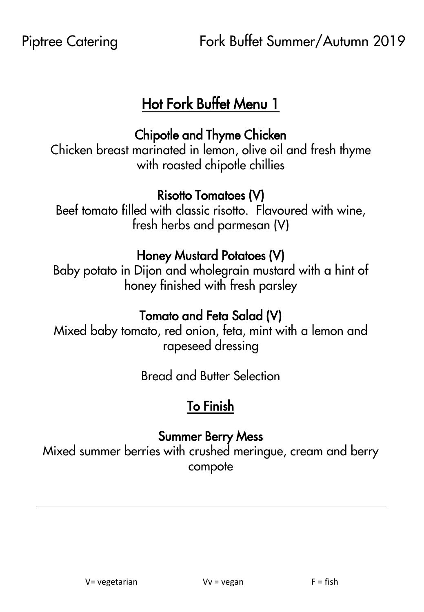## Hot Fork Buffet Menu 1

#### Chipotle and Thyme Chicken

Chicken breast marinated in lemon, olive oil and fresh thyme with roasted chipotle chillies

#### Risotto Tomatoes (V)

Beef tomato filled with classic risotto. Flavoured with wine, fresh herbs and parmesan (V)

#### Honey Mustard Potatoes (V)

Baby potato in Dijon and wholegrain mustard with a hint of honey finished with fresh parsley

### Tomato and Feta Salad (V)

Mixed baby tomato, red onion, feta, mint with a lemon and rapeseed dressing

Bread and Butter Selection

## To Finish

#### Summer Berry Mess

Mixed summer berries with crushed meringue, cream and berry compote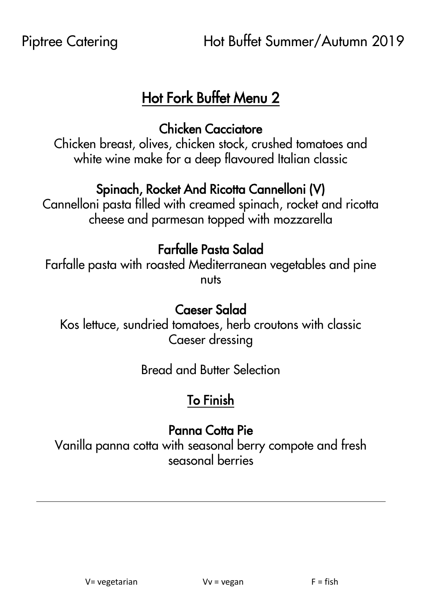## Hot Fork Buffet Menu 2

#### Chicken Cacciatore

Chicken breast, olives, chicken stock, crushed tomatoes and white wine make for a deep flavoured Italian classic

#### Spinach, Rocket And Ricotta Cannelloni (V)

Cannelloni pasta filled with creamed spinach, rocket and ricotta cheese and parmesan topped with mozzarella

### Farfalle Pasta Salad

Farfalle pasta with roasted Mediterranean vegetables and pine nuts

#### Caeser Salad

Kos lettuce, sundried tomatoes, herb croutons with classic Caeser dressing

Bread and Butter Selection

## To Finish

#### Panna Cotta Pie

Vanilla panna cotta with seasonal berry compote and fresh seasonal berries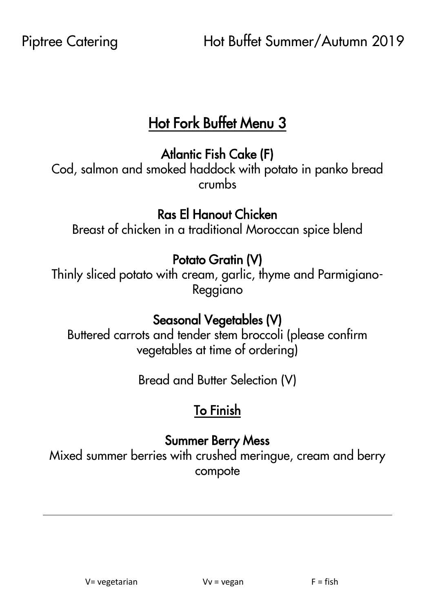## Hot Fork Buffet Menu 3

#### Atlantic Fish Cake (F)

Cod, salmon and smoked haddock with potato in panko bread crumbs

#### Ras El Hanout Chicken

Breast of chicken in a traditional Moroccan spice blend

#### Potato Gratin (V)

Thinly sliced potato with cream, garlic, thyme and Parmigiano-Reggiano

#### Seasonal Vegetables (V)

Buttered carrots and tender stem broccoli (please confirm vegetables at time of ordering)

Bread and Butter Selection (V)

## To Finish

#### Summer Berry Mess

Mixed summer berries with crushed meringue, cream and berry compote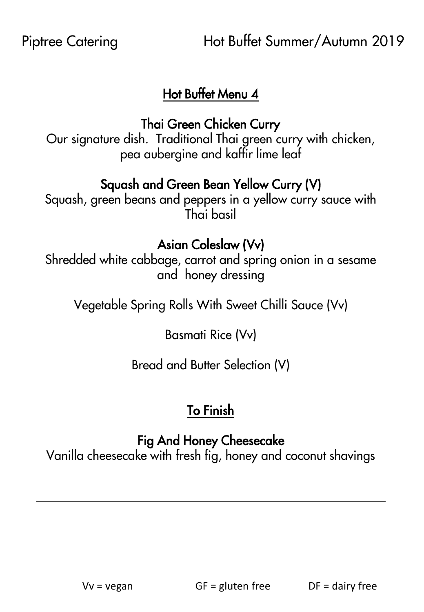#### Hot Buffet Menu 4

Thai Green Chicken Curry

Our signature dish. Traditional Thai green curry with chicken, pea aubergine and kaffir lime leaf

#### Squash and Green Bean Yellow Curry (V)

Squash, green beans and peppers in a yellow curry sauce with Thai basil

#### Asian Coleslaw (Vv)

Shredded white cabbage, carrot and spring onion in a sesame and honey dressing

Vegetable Spring Rolls With Sweet Chilli Sauce (Vv)

Basmati Rice (Vv)

Bread and Butter Selection (V)

## To Finish

#### Fig And Honey Cheesecake

Vanilla cheesecake with fresh fig, honey and coconut shavings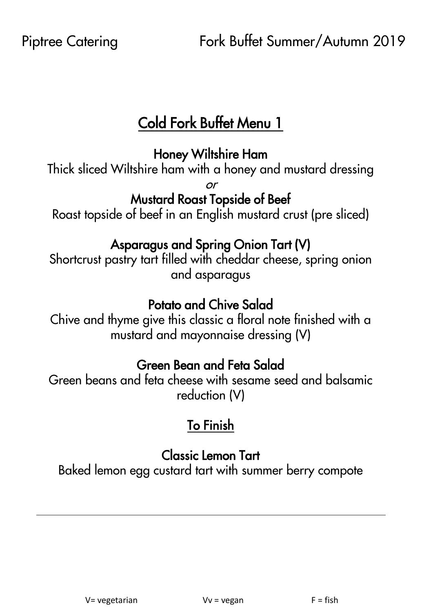## Cold Fork Buffet Menu 1

#### Honey Wiltshire Ham

Thick sliced Wiltshire ham with a honey and mustard dressing

or

#### Mustard Roast Topside of Beef

Roast topside of beef in an English mustard crust (pre sliced)

#### Asparagus and Spring Onion Tart (V)

Shortcrust pastry tart filled with cheddar cheese, spring onion and asparagus

#### Potato and Chive Salad

Chive and thyme give this classic a floral note finished with a mustard and mayonnaise dressing (V)

### Green Bean and Feta Salad

Green beans and feta cheese with sesame seed and balsamic reduction (V)

## To Finish

## Classic Lemon Tart

Baked lemon egg custard tart with summer berry compote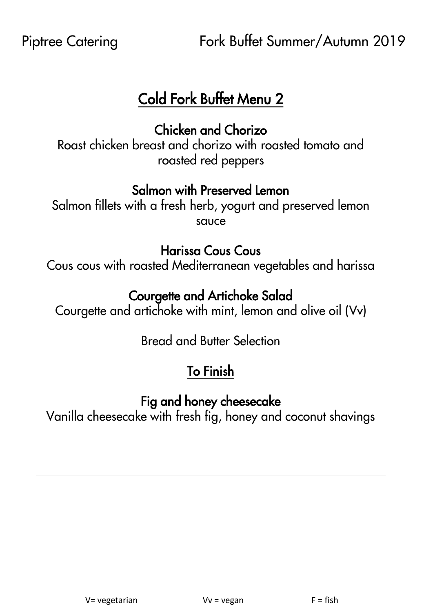## Cold Fork Buffet Menu 2

Chicken and Chorizo

Roast chicken breast and chorizo with roasted tomato and roasted red peppers

#### Salmon with Preserved Lemon

Salmon fillets with a fresh herb, yogurt and preserved lemon sauce

#### Harissa Cous Cous

Cous cous with roasted Mediterranean vegetables and harissa

### Courgette and Artichoke Salad

Courgette and artichoke with mint, lemon and olive oil (Vv)

Bread and Butter Selection

## To Finish

### Fig and honey cheesecake

Vanilla cheesecake with fresh fig, honey and coconut shavings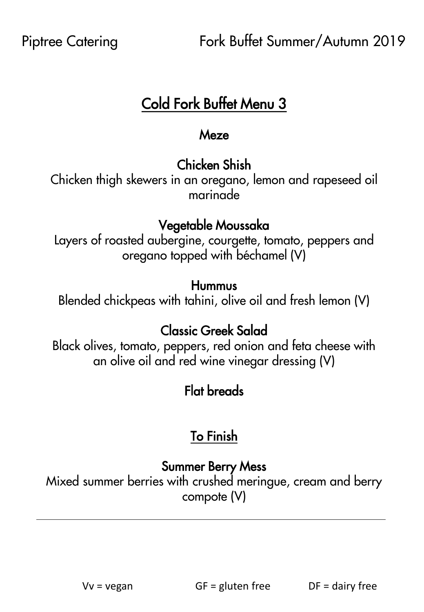## Cold Fork Buffet Menu 3

#### Meze

## Chicken Shish

Chicken thigh skewers in an oregano, lemon and rapeseed oil marinade

## Vegetable Moussaka

Layers of roasted aubergine, courgette, tomato, peppers and oregano topped with béchamel (V)

#### Hummus

Blended chickpeas with tahini, olive oil and fresh lemon (V)

## Classic Greek Salad

Black olives, tomato, peppers, red onion and feta cheese with an olive oil and red wine vinegar dressing (V)

## Flat breads

## To Finish

## Summer Berry Mess

Mixed summer berries with crushed meringue, cream and berry compote (V)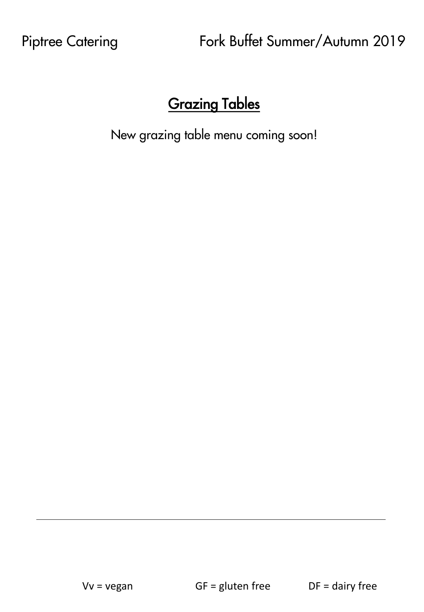## Grazing Tables

New grazing table menu coming soon!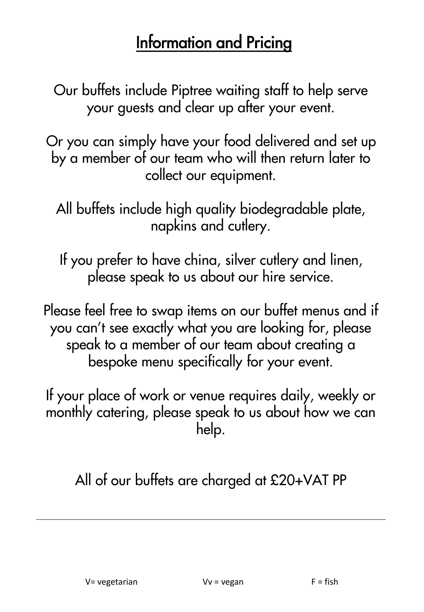# Information and Pricing

Our buffets include Piptree waiting staff to help serve your guests and clear up after your event.

Or you can simply have your food delivered and set up by a member of our team who will then return later to collect our equipment.

All buffets include high quality biodegradable plate, napkins and cutlery.

If you prefer to have china, silver cutlery and linen, please speak to us about our hire service.

Please feel free to swap items on our buffet menus and if you can't see exactly what you are looking for, please speak to a member of our team about creating a bespoke menu specifically for your event.

If your place of work or venue requires daily, weekly or monthly catering, please speak to us about how we can help.

All of our buffets are charged at £20+VAT PP